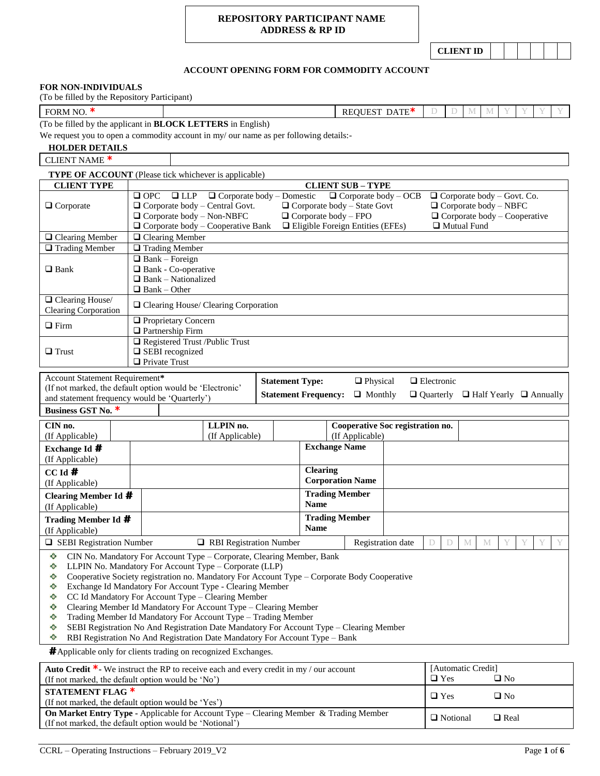## **REPOSITORY PARTICIPANT NAME ADDRESS & RP ID**

**CLIENT ID**

# **ACCOUNT OPENING FORM FOR COMMODITY ACCOUNT**

### **FOR NON-INDIVIDUALS**

(To be filled by the Repository Participant)

**FORM NO. \*** REQUEST DATE **\*** D D M M Y Y

(To be filled by the applicant in **BLOCK LETTERS** in English)

We request you to open a commodity account in my/ our name as per following details:-

| We request you to open a commodity account in my/ our name as per following details:-                                                                             |                                                                                                                                                                                                                                                                                                                                                                                                                                                                        |                                                                                                                                                                                                                                                                                                                                                                                                                                                                                                                                                                                                           |                                                       |                                                     |                                       |                                    |  |  |
|-------------------------------------------------------------------------------------------------------------------------------------------------------------------|------------------------------------------------------------------------------------------------------------------------------------------------------------------------------------------------------------------------------------------------------------------------------------------------------------------------------------------------------------------------------------------------------------------------------------------------------------------------|-----------------------------------------------------------------------------------------------------------------------------------------------------------------------------------------------------------------------------------------------------------------------------------------------------------------------------------------------------------------------------------------------------------------------------------------------------------------------------------------------------------------------------------------------------------------------------------------------------------|-------------------------------------------------------|-----------------------------------------------------|---------------------------------------|------------------------------------|--|--|
| <b>HOLDER DETAILS</b>                                                                                                                                             |                                                                                                                                                                                                                                                                                                                                                                                                                                                                        |                                                                                                                                                                                                                                                                                                                                                                                                                                                                                                                                                                                                           |                                                       |                                                     |                                       |                                    |  |  |
| <b>CLIENT NAME *</b>                                                                                                                                              |                                                                                                                                                                                                                                                                                                                                                                                                                                                                        |                                                                                                                                                                                                                                                                                                                                                                                                                                                                                                                                                                                                           |                                                       |                                                     |                                       |                                    |  |  |
| <b>TYPE OF ACCOUNT</b> (Please tick whichever is applicable)                                                                                                      |                                                                                                                                                                                                                                                                                                                                                                                                                                                                        |                                                                                                                                                                                                                                                                                                                                                                                                                                                                                                                                                                                                           |                                                       |                                                     |                                       |                                    |  |  |
| <b>CLIENT TYPE</b>                                                                                                                                                |                                                                                                                                                                                                                                                                                                                                                                                                                                                                        |                                                                                                                                                                                                                                                                                                                                                                                                                                                                                                                                                                                                           |                                                       | <b>CLIENT SUB - TYPE</b>                            |                                       |                                    |  |  |
| $\Box$ Corporate                                                                                                                                                  | $\Box$ LLP<br>$\Box$ Corporate body – Domestic<br>$\Box$ Corporate body – OCB<br>$\Box$ Corporate body – Govt. Co.<br>$\Box$ OPC<br>$\Box$ Corporate body - Central Govt.<br>$\Box$ Corporate body - State Govt<br>$\Box$ Corporate body - NBFC<br>$\Box$ Corporate body - Non-NBFC<br>$\Box$ Corporate body - FPO<br>$\Box$ Corporate body – Cooperative<br>$\Box$ Corporate body – Cooperative Bank<br>$\Box$ Eligible Foreign Entities (EFEs)<br>$\Box$ Mutual Fund |                                                                                                                                                                                                                                                                                                                                                                                                                                                                                                                                                                                                           |                                                       |                                                     |                                       |                                    |  |  |
| $\Box$ Clearing Member                                                                                                                                            | $\Box$ Clearing Member                                                                                                                                                                                                                                                                                                                                                                                                                                                 |                                                                                                                                                                                                                                                                                                                                                                                                                                                                                                                                                                                                           |                                                       |                                                     |                                       |                                    |  |  |
| $\Box$ Trading Member                                                                                                                                             | $\Box$ Trading Member                                                                                                                                                                                                                                                                                                                                                                                                                                                  |                                                                                                                                                                                                                                                                                                                                                                                                                                                                                                                                                                                                           |                                                       |                                                     |                                       |                                    |  |  |
| $\Box$ Bank                                                                                                                                                       | $\Box$ Bank – Foreign<br>$\Box$ Bank - Co-operative<br>$\Box$ Bank - Nationalized<br>$\Box$ Bank – Other                                                                                                                                                                                                                                                                                                                                                               |                                                                                                                                                                                                                                                                                                                                                                                                                                                                                                                                                                                                           |                                                       |                                                     |                                       |                                    |  |  |
| $\Box$ Clearing House/<br><b>Clearing Corporation</b>                                                                                                             |                                                                                                                                                                                                                                                                                                                                                                                                                                                                        | □ Clearing House/ Clearing Corporation                                                                                                                                                                                                                                                                                                                                                                                                                                                                                                                                                                    |                                                       |                                                     |                                       |                                    |  |  |
| $\Box$ Firm                                                                                                                                                       | <b>Q</b> Proprietary Concern<br>$\Box$ Partnership Firm                                                                                                                                                                                                                                                                                                                                                                                                                |                                                                                                                                                                                                                                                                                                                                                                                                                                                                                                                                                                                                           |                                                       |                                                     |                                       |                                    |  |  |
| $\Box$ Trust                                                                                                                                                      | Registered Trust /Public Trust<br>□ SEBI recognized<br>$\Box$ Private Trust                                                                                                                                                                                                                                                                                                                                                                                            |                                                                                                                                                                                                                                                                                                                                                                                                                                                                                                                                                                                                           |                                                       |                                                     |                                       |                                    |  |  |
| Account Statement Requirement*<br>(If not marked, the default option would be 'Electronic'<br>and statement frequency would be 'Quarterly')<br>Business GST No. * |                                                                                                                                                                                                                                                                                                                                                                                                                                                                        |                                                                                                                                                                                                                                                                                                                                                                                                                                                                                                                                                                                                           | <b>Statement Type:</b><br><b>Statement Frequency:</b> | $\Box$ Physical<br>$\Box$ Monthly                   | $\Box$ Electronic<br>$\Box$ Quarterly | $\Box$ Half Yearly $\Box$ Annually |  |  |
| CIN no.<br>(If Applicable)                                                                                                                                        |                                                                                                                                                                                                                                                                                                                                                                                                                                                                        | LLPIN no.<br>(If Applicable)                                                                                                                                                                                                                                                                                                                                                                                                                                                                                                                                                                              |                                                       | Cooperative Soc registration no.<br>(If Applicable) |                                       |                                    |  |  |
| Exchange Id #<br>(If Applicable)                                                                                                                                  |                                                                                                                                                                                                                                                                                                                                                                                                                                                                        |                                                                                                                                                                                                                                                                                                                                                                                                                                                                                                                                                                                                           | <b>Exchange Name</b>                                  |                                                     |                                       |                                    |  |  |
| $CC$ Id $#$<br>(If Applicable)                                                                                                                                    |                                                                                                                                                                                                                                                                                                                                                                                                                                                                        |                                                                                                                                                                                                                                                                                                                                                                                                                                                                                                                                                                                                           | <b>Clearing</b><br><b>Corporation Name</b>            |                                                     |                                       |                                    |  |  |
| <b>Clearing Member Id #</b><br>(If Applicable)                                                                                                                    |                                                                                                                                                                                                                                                                                                                                                                                                                                                                        |                                                                                                                                                                                                                                                                                                                                                                                                                                                                                                                                                                                                           | <b>Trading Member</b><br><b>Name</b>                  |                                                     |                                       |                                    |  |  |
| <b>Trading Member Id #</b><br>(If Applicable)                                                                                                                     |                                                                                                                                                                                                                                                                                                                                                                                                                                                                        |                                                                                                                                                                                                                                                                                                                                                                                                                                                                                                                                                                                                           | <b>Trading Member</b><br><b>Name</b>                  |                                                     |                                       |                                    |  |  |
| $\Box$ SEBI Registration Number                                                                                                                                   |                                                                                                                                                                                                                                                                                                                                                                                                                                                                        | RBI Registration Number                                                                                                                                                                                                                                                                                                                                                                                                                                                                                                                                                                                   |                                                       | Registration date                                   | D<br>D                                | Y<br>M<br>M<br>Y<br>Y<br>Y         |  |  |
| ❖<br>❖<br>❖<br>❖<br>❖<br>❖<br>❖<br>❖<br>❖<br><b>#</b> Applicable only for clients trading on recognized Exchanges.                                                | CC Id Mandatory For Account Type - Clearing Member                                                                                                                                                                                                                                                                                                                                                                                                                     | CIN No. Mandatory For Account Type - Corporate, Clearing Member, Bank<br>LLPIN No. Mandatory For Account Type - Corporate (LLP)<br>Cooperative Society registration no. Mandatory For Account Type - Corporate Body Cooperative<br>Exchange Id Mandatory For Account Type - Clearing Member<br>Clearing Member Id Mandatory For Account Type - Clearing Member<br>Trading Member Id Mandatory For Account Type - Trading Member<br>SEBI Registration No And Registration Date Mandatory For Account Type - Clearing Member<br>RBI Registration No And Registration Date Mandatory For Account Type - Bank |                                                       |                                                     |                                       |                                    |  |  |
| Auto Credit <sup>*</sup> We instruct the RP to receive each and every credit in my / our account<br>(If not marked, the default option would be 'No')             |                                                                                                                                                                                                                                                                                                                                                                                                                                                                        |                                                                                                                                                                                                                                                                                                                                                                                                                                                                                                                                                                                                           |                                                       |                                                     | $\Box$ Yes                            | [Automatic Credit]<br>$\square$ No |  |  |
|                                                                                                                                                                   |                                                                                                                                                                                                                                                                                                                                                                                                                                                                        |                                                                                                                                                                                                                                                                                                                                                                                                                                                                                                                                                                                                           |                                                       |                                                     |                                       |                                    |  |  |

| <b>Auto Cream</b> - We module the Kr to receive each and every cream in my / our account                                                                |                 |                |
|---------------------------------------------------------------------------------------------------------------------------------------------------------|-----------------|----------------|
| (If not marked, the default option would be 'No')                                                                                                       | $\Box$ Yes      | □ No           |
| STATEMENT FLAG $*$<br>(If not marked, the default option would be 'Yes')                                                                                | $\Box$ Yes      | $\Box$ No      |
| <b>On Market Entry Type -</b> Applicable for Account Type – Clearing Member & Trading Member<br>(If not marked, the default option would be 'Notional') | $\Box$ Notional | $\square$ Real |
|                                                                                                                                                         |                 |                |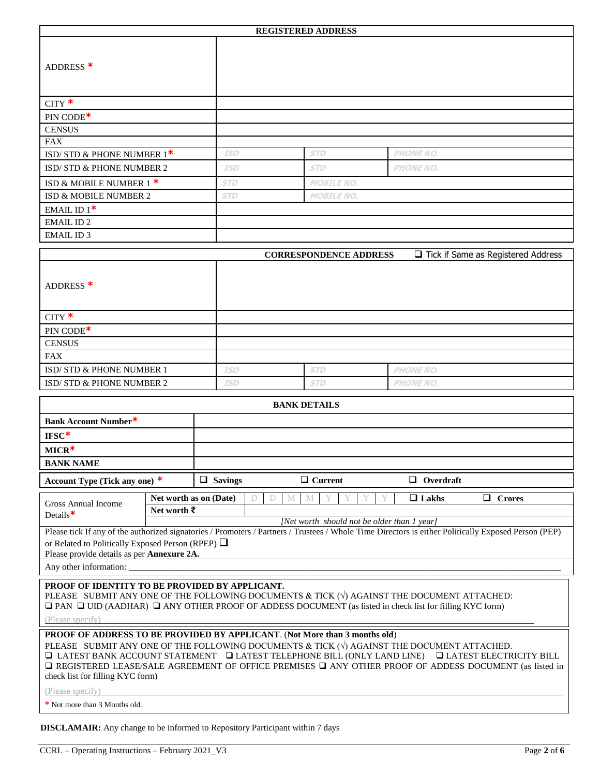|                                                                                                                                                                                                                                                                                                                                                                                                                                 |             |                        |                                                                                      | <b>REGISTERED ADDRESS</b>     |                  |                                      |  |
|---------------------------------------------------------------------------------------------------------------------------------------------------------------------------------------------------------------------------------------------------------------------------------------------------------------------------------------------------------------------------------------------------------------------------------|-------------|------------------------|--------------------------------------------------------------------------------------|-------------------------------|------------------|--------------------------------------|--|
| ADDRESS <sup>*</sup>                                                                                                                                                                                                                                                                                                                                                                                                            |             |                        |                                                                                      |                               |                  |                                      |  |
| $CITY$ *                                                                                                                                                                                                                                                                                                                                                                                                                        |             |                        |                                                                                      |                               |                  |                                      |  |
| PIN CODE*                                                                                                                                                                                                                                                                                                                                                                                                                       |             |                        |                                                                                      |                               |                  |                                      |  |
| <b>CENSUS</b>                                                                                                                                                                                                                                                                                                                                                                                                                   |             |                        |                                                                                      |                               |                  |                                      |  |
| <b>FAX</b>                                                                                                                                                                                                                                                                                                                                                                                                                      |             |                        |                                                                                      |                               |                  |                                      |  |
| ISD/STD & PHONE NUMBER 1*                                                                                                                                                                                                                                                                                                                                                                                                       |             | <b>ISD</b>             |                                                                                      | <b>STD</b>                    | <b>PHONE NO.</b> |                                      |  |
| ISD/STD & PHONE NUMBER 2                                                                                                                                                                                                                                                                                                                                                                                                        |             | <b>ISD</b>             |                                                                                      | <b>STD</b>                    | <b>PHONE NO.</b> |                                      |  |
| ISD & MOBILE NUMBER 1 *                                                                                                                                                                                                                                                                                                                                                                                                         |             | <b>STD</b>             |                                                                                      | <b>MOBILE NO.</b>             |                  |                                      |  |
| ISD & MOBILE NUMBER 2                                                                                                                                                                                                                                                                                                                                                                                                           |             | <b>STD</b>             |                                                                                      | <b>MOBILE NO.</b>             |                  |                                      |  |
| EMAIL ID $1^*$                                                                                                                                                                                                                                                                                                                                                                                                                  |             |                        |                                                                                      |                               |                  |                                      |  |
| <b>EMAIL ID2</b>                                                                                                                                                                                                                                                                                                                                                                                                                |             |                        |                                                                                      |                               |                  |                                      |  |
| <b>EMAIL ID3</b>                                                                                                                                                                                                                                                                                                                                                                                                                |             |                        |                                                                                      |                               |                  |                                      |  |
|                                                                                                                                                                                                                                                                                                                                                                                                                                 |             |                        |                                                                                      |                               |                  |                                      |  |
|                                                                                                                                                                                                                                                                                                                                                                                                                                 |             |                        |                                                                                      | <b>CORRESPONDENCE ADDRESS</b> |                  | □ Tick if Same as Registered Address |  |
| ADDRESS <sup>*</sup>                                                                                                                                                                                                                                                                                                                                                                                                            |             |                        |                                                                                      |                               |                  |                                      |  |
| CITY $*$                                                                                                                                                                                                                                                                                                                                                                                                                        |             |                        |                                                                                      |                               |                  |                                      |  |
| PIN CODE*                                                                                                                                                                                                                                                                                                                                                                                                                       |             |                        |                                                                                      |                               |                  |                                      |  |
| <b>CENSUS</b>                                                                                                                                                                                                                                                                                                                                                                                                                   |             |                        |                                                                                      |                               |                  |                                      |  |
| <b>FAX</b>                                                                                                                                                                                                                                                                                                                                                                                                                      |             |                        |                                                                                      |                               |                  |                                      |  |
| ISD/STD & PHONE NUMBER 1                                                                                                                                                                                                                                                                                                                                                                                                        |             | <b>ISD</b>             |                                                                                      | <b>STD</b>                    | <b>PHONE NO.</b> |                                      |  |
| ISD/STD & PHONE NUMBER 2                                                                                                                                                                                                                                                                                                                                                                                                        |             | ISD                    |                                                                                      | <b>STD</b>                    | <b>PHONE NO.</b> |                                      |  |
|                                                                                                                                                                                                                                                                                                                                                                                                                                 |             |                        |                                                                                      | <b>BANK DETAILS</b>           |                  |                                      |  |
| Bank Account Number*                                                                                                                                                                                                                                                                                                                                                                                                            |             |                        |                                                                                      |                               |                  |                                      |  |
| $IFSC*$                                                                                                                                                                                                                                                                                                                                                                                                                         |             |                        |                                                                                      |                               |                  |                                      |  |
|                                                                                                                                                                                                                                                                                                                                                                                                                                 |             |                        |                                                                                      |                               |                  |                                      |  |
| $MICR*$                                                                                                                                                                                                                                                                                                                                                                                                                         |             |                        |                                                                                      |                               |                  |                                      |  |
| <b>BANK NAME</b>                                                                                                                                                                                                                                                                                                                                                                                                                |             |                        |                                                                                      |                               |                  |                                      |  |
| Account Type (Tick any one) *                                                                                                                                                                                                                                                                                                                                                                                                   |             | $\Box$ Savings         |                                                                                      | $\Box$ Current                | $\Box$ Overdraft |                                      |  |
| <b>Gross Annual Income</b>                                                                                                                                                                                                                                                                                                                                                                                                      |             | Net worth as on (Date) | D<br>D<br>М                                                                          | M                             | $\Box$ Lakhs     | □ Crores                             |  |
| Details $*$                                                                                                                                                                                                                                                                                                                                                                                                                     | Net worth ₹ |                        |                                                                                      |                               |                  |                                      |  |
| [Net worth should not be older than 1 year]<br>Please tick If any of the authorized signatories / Promoters / Partners / Trustees / Whole Time Directors is either Politically Exposed Person (PEP)<br>or Related to Politically Exposed Person (RPEP) $\Box$<br>Please provide details as per Annexure 2A.                                                                                                                     |             |                        |                                                                                      |                               |                  |                                      |  |
| Any other information: _                                                                                                                                                                                                                                                                                                                                                                                                        |             |                        |                                                                                      |                               |                  |                                      |  |
| PROOF OF IDENTITY TO BE PROVIDED BY APPLICANT.<br>PLEASE SUBMIT ANY ONE OF THE FOLLOWING DOCUMENTS & TICK $(\sqrt{)}$ AGAINST THE DOCUMENT ATTACHED:<br>$\Box$ PAN $\Box$ UID (AADHAR) $\Box$ ANY OTHER PROOF OF ADDESS DOCUMENT (as listed in check list for filling KYC form)<br>(Please specify)                                                                                                                             |             |                        |                                                                                      |                               |                  |                                      |  |
|                                                                                                                                                                                                                                                                                                                                                                                                                                 |             |                        |                                                                                      |                               |                  |                                      |  |
| PROOF OF ADDRESS TO BE PROVIDED BY APPLICANT. (Not More than 3 months old)<br>PLEASE SUBMIT ANY ONE OF THE FOLLOWING DOCUMENTS & TICK $(\forall)$ AGAINST THE DOCUMENT ATTACHED.<br>$\Box$ LATEST BANK ACCOUNT STATEMENT $\Box$ LATEST TELEPHONE BILL (ONLY LAND LINE)<br>$\Box$ REGISTERED LEASE/SALE AGREEMENT OF OFFICE PREMISES $\Box$ ANY OTHER PROOF OF ADDESS DOCUMENT (as listed in<br>check list for filling KYC form) |             |                        |                                                                                      |                               |                  | <b>LATEST ELECTRICITY BILL</b>       |  |
| (Please specify)                                                                                                                                                                                                                                                                                                                                                                                                                |             |                        |                                                                                      |                               |                  |                                      |  |
| * Not more than 3 Months old.                                                                                                                                                                                                                                                                                                                                                                                                   |             |                        |                                                                                      |                               |                  |                                      |  |
|                                                                                                                                                                                                                                                                                                                                                                                                                                 |             |                        | <b>DISCLAMAIR:</b> Any change to be informed to Repository Participant within 7 days |                               |                  |                                      |  |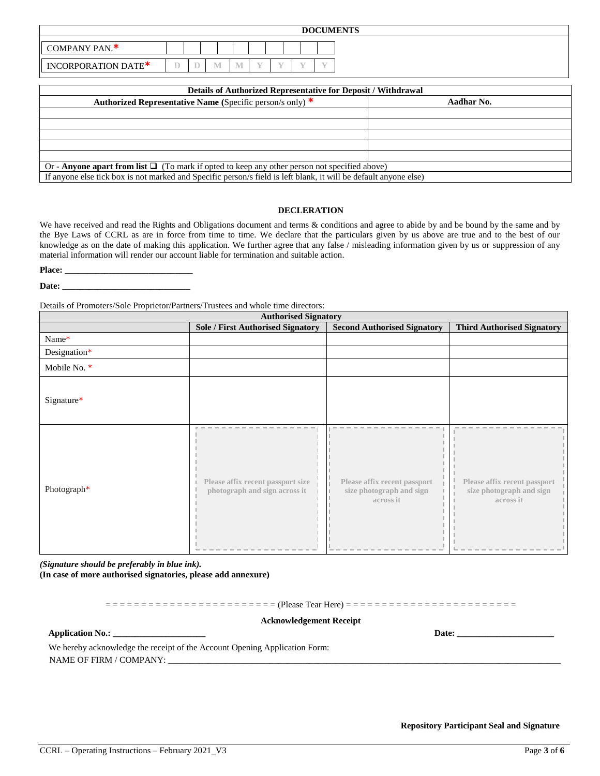|                     |                                                                           |  |   |     |  |  |  | <b>DOCUMENTS</b> |                                                               |  |  |
|---------------------|---------------------------------------------------------------------------|--|---|-----|--|--|--|------------------|---------------------------------------------------------------|--|--|
| COMPANY PAN.*       |                                                                           |  |   |     |  |  |  |                  |                                                               |  |  |
| INCORPORATION DATE* |                                                                           |  | M | - M |  |  |  |                  |                                                               |  |  |
|                     |                                                                           |  |   |     |  |  |  |                  | Details of Authorized Representative for Deposit / Withdrawal |  |  |
|                     | Authorized Representative Name (Specific person/s only) $*$<br>Aadhar No. |  |   |     |  |  |  |                  |                                                               |  |  |
|                     |                                                                           |  |   |     |  |  |  |                  |                                                               |  |  |
|                     |                                                                           |  |   |     |  |  |  |                  |                                                               |  |  |

Or - **Anyone apart from list**  $\Box$  (To mark if opted to keep any other person not specified above) If anyone else tick box is not marked and Specific person/s field is left blank, it will be default anyone else)

## **DECLERATION**

We have received and read the Rights and Obligations document and terms & conditions and agree to abide by and be bound by the same and by the Bye Laws of CCRL as are in force from time to time. We declare that the particulars given by us above are true and to the best of our knowledge as on the date of making this application. We further agree that any false / misleading information given by us or suppression of any material information will render our account liable for termination and suitable action.

Place: \_

**Date: \_\_\_\_\_\_\_\_\_\_\_\_\_\_\_\_\_\_\_\_\_\_\_\_\_\_\_\_\_**

Details of Promoters/Sole Proprietor/Partners/Trustees and whole time directors:

| <b>Authorised Signatory</b> |                                                                    |                                                                       |                                                                       |  |  |  |  |  |
|-----------------------------|--------------------------------------------------------------------|-----------------------------------------------------------------------|-----------------------------------------------------------------------|--|--|--|--|--|
|                             | <b>Sole / First Authorised Signatory</b>                           | <b>Second Authorised Signatory</b>                                    | <b>Third Authorised Signatory</b>                                     |  |  |  |  |  |
| Name*                       |                                                                    |                                                                       |                                                                       |  |  |  |  |  |
| Designation*                |                                                                    |                                                                       |                                                                       |  |  |  |  |  |
| Mobile No. *                |                                                                    |                                                                       |                                                                       |  |  |  |  |  |
| Signature*                  |                                                                    |                                                                       |                                                                       |  |  |  |  |  |
| Photograph*                 | Please affix recent passport size<br>photograph and sign across it | Please affix recent passport<br>size photograph and sign<br>across it | Please affix recent passport<br>size photograph and sign<br>across it |  |  |  |  |  |

*(Signature should be preferably in blue ink).* **(In case of more authorised signatories, please add annexure)**

= = = = = = = = = = = = = = = = = = = = = = = = (Please Tear Here) = = = = = = = = = = = = = = = = = = = = = = = = **Acknowledgement Receipt Application No.: \_\_\_\_\_\_\_\_\_\_\_\_\_\_\_\_\_\_\_\_\_ Date: \_\_\_\_\_\_\_\_\_\_\_\_\_\_\_\_\_\_\_\_\_\_**  We hereby acknowledge the receipt of the Account Opening Application Form: NAME OF FIRM / COMPANY: \_\_\_\_\_\_\_\_\_\_\_\_\_\_\_\_\_\_\_\_\_\_\_\_\_\_\_\_\_\_\_\_\_\_\_\_\_\_\_\_\_\_\_\_\_\_\_\_\_\_\_\_\_\_\_\_\_\_\_\_\_\_\_\_\_\_\_\_\_\_\_\_\_\_\_\_\_\_\_\_\_\_\_\_\_\_\_\_\_\_\_\_\_\_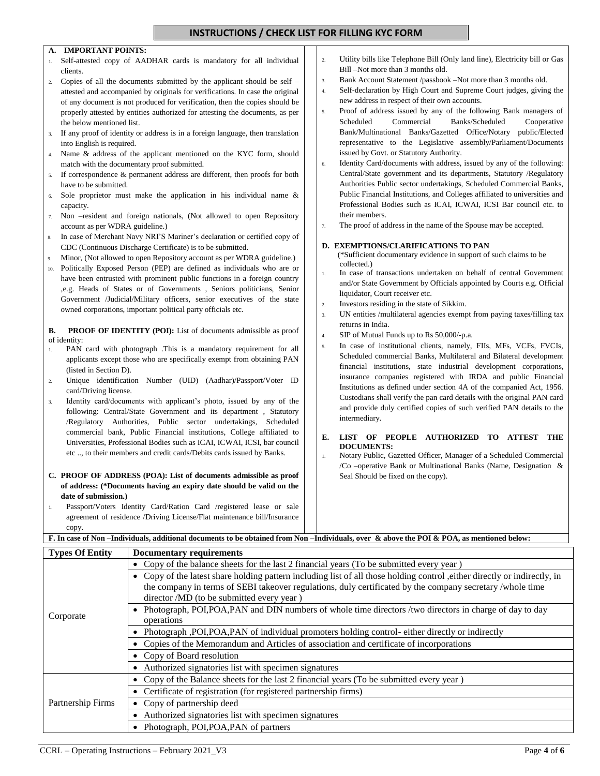# **INSTRUCTIONS / CHECK LIST FOR FILLING KYC FORM**

### **A. A. IMPORTANT POINTS:**

- 1. Self-attested copy of AADHAR cards is mandatory for all individual clients.
- 2. Copies of all the documents submitted by the applicant should be self attested and accompanied by originals for verifications. In case the original of any document is not produced for verification, then the copies should be properly attested by entities authorized for attesting the documents, as per the below mentioned list.
- 3. If any proof of identity or address is in a foreign language, then translation into English is required.
- 4. Name & address of the applicant mentioned on the KYC form, should match with the documentary proof submitted.
- 5. If correspondence & permanent address are different, then proofs for both have to be submitted.
- 6. Sole proprietor must make the application in his individual name & capacity.
- 7. Non –resident and foreign nationals, (Not allowed to open Repository account as per WDRA guideline.)
- 8. In case of Merchant Navy NRI'S Mariner's declaration or certified copy of CDC (Continuous Discharge Certificate) is to be submitted.
- Minor, (Not allowed to open Repository account as per WDRA guideline.)
- 10. Politically Exposed Person (PEP) are defined as individuals who are or have been entrusted with prominent public functions in a foreign country ,e.g. Heads of States or of Governments , Seniors politicians, Senior Government /Judicial/Military officers, senior executives of the state owned corporations, important political party officials etc.

**B. PROOF OF IDENTITY (POI):** List of documents admissible as proof of identity:

- 1. PAN card with photograph .This is a mandatory requirement for all applicants except those who are specifically exempt from obtaining PAN (listed in Section D).
- 2. Unique identification Number (UID) (Aadhar)/Passport/Voter ID card/Driving license.
- 3. Identity card/documents with applicant's photo, issued by any of the following: Central/State Government and its department , Statutory /Regulatory Authorities, Public sector undertakings, Scheduled commercial bank, Public Financial institutions, College affiliated to Universities, Professional Bodies such as ICAI, ICWAI, ICSI, bar council etc .., to their members and credit cards/Debits cards issued by Banks.

#### **C. PROOF OF ADDRESS (POA): List of documents admissible as proof of address: (\*Documents having an expiry date should be valid on the date of submission.)**

1. Passport/Voters Identity Card/Ration Card /registered lease or sale agreement of residence /Driving License/Flat maintenance bill/Insurance copy.

- 2. Utility bills like Telephone Bill (Only land line), Electricity bill or Gas Bill –Not more than 3 months old.
- 3. Bank Account Statement /passbook –Not more than 3 months old.
- 4. Self-declaration by High Court and Supreme Court judges, giving the new address in respect of their own accounts.
- 5. Proof of address issued by any of the following Bank managers of Scheduled Commercial Banks/Scheduled Cooperative Bank/Multinational Banks/Gazetted Office/Notary public/Elected representative to the Legislative assembly/Parliament/Documents issued by Govt. or Statutory Authority.
- 6. Identity Card/documents with address, issued by any of the following: Central/State government and its departments, Statutory /Regulatory Authorities Public sector undertakings, Scheduled Commercial Banks, Public Financial Institutions, and Colleges affiliated to universities and Professional Bodies such as ICAI, ICWAI, ICSI Bar council etc. to their members.
- 7. The proof of address in the name of the Spouse may be accepted.

### **D. EXEMPTIONS/CLARIFICATIONS TO PAN**

 (\*Sufficient documentary evidence in support of such claims to be collected.)

- 1. In case of transactions undertaken on behalf of central Government and/or State Government by Officials appointed by Courts e.g. Official liquidator, Court receiver etc.
- 2. Investors residing in the state of Sikkim.
- 3. UN entities /multilateral agencies exempt from paying taxes/filling tax returns in India.
- 4. SIP of Mutual Funds up to Rs 50,000/-p.a.
- 5. In case of institutional clients, namely, FIIs, MFs, VCFs, FVCIs, Scheduled commercial Banks, Multilateral and Bilateral development financial institutions, state industrial development corporations, insurance companies registered with IRDA and public Financial Institutions as defined under section 4A of the companied Act, 1956. Custodians shall verify the pan card details with the original PAN card and provide duly certified copies of such verified PAN details to the intermediary.
- **E. LIST OF PEOPLE AUTHORIZED TO ATTEST THE DOCUMENTS:**
- 1. Notary Public, Gazetted Officer, Manager of a Scheduled Commercial /Co –operative Bank or Multinational Banks (Name, Designation & Seal Should be fixed on the copy).

**F. In case of Non –Individuals, additional documents to be obtained from Non –Individuals, over & above the POI & POA, as mentioned below:**

| <b>Types Of Entity</b> | <b>Documentary requirements</b>                                                                                                                                                                                                                                                     |  |  |  |  |  |  |
|------------------------|-------------------------------------------------------------------------------------------------------------------------------------------------------------------------------------------------------------------------------------------------------------------------------------|--|--|--|--|--|--|
|                        | Copy of the balance sheets for the last 2 financial years (To be submitted every year)                                                                                                                                                                                              |  |  |  |  |  |  |
|                        | • Copy of the latest share holding pattern including list of all those holding control, either directly or indirectly, in<br>the company in terms of SEBI takeover regulations, duly certificated by the company secretary /whole time<br>director /MD (to be submitted every year) |  |  |  |  |  |  |
| Corporate              | Photograph, POI, POA, PAN and DIN numbers of whole time directors /two directors in charge of day to day<br>operations                                                                                                                                                              |  |  |  |  |  |  |
|                        | Photograph , POI, POA, PAN of individual promoters holding control- either directly or indirectly                                                                                                                                                                                   |  |  |  |  |  |  |
|                        | Copies of the Memorandum and Articles of association and certificate of incorporations                                                                                                                                                                                              |  |  |  |  |  |  |
|                        | Copy of Board resolution                                                                                                                                                                                                                                                            |  |  |  |  |  |  |
|                        | Authorized signatories list with specimen signatures                                                                                                                                                                                                                                |  |  |  |  |  |  |
|                        | Copy of the Balance sheets for the last 2 financial years (To be submitted every year)                                                                                                                                                                                              |  |  |  |  |  |  |
| Partnership Firms      | Certificate of registration (for registered partnership firms)                                                                                                                                                                                                                      |  |  |  |  |  |  |
|                        | Copy of partnership deed                                                                                                                                                                                                                                                            |  |  |  |  |  |  |
|                        | Authorized signatories list with specimen signatures                                                                                                                                                                                                                                |  |  |  |  |  |  |
|                        | Photograph, POI, POA, PAN of partners                                                                                                                                                                                                                                               |  |  |  |  |  |  |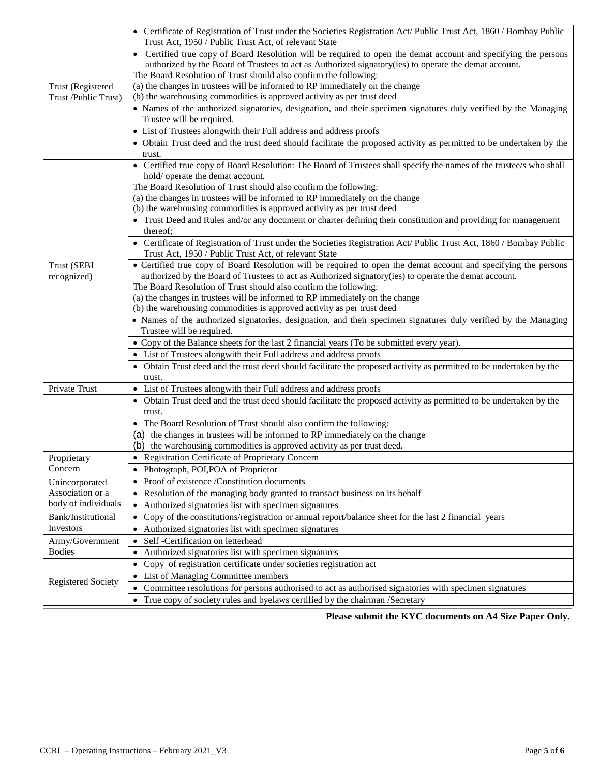|                           | • Certificate of Registration of Trust under the Societies Registration Act/ Public Trust Act, 1860 / Bombay Public                          |
|---------------------------|----------------------------------------------------------------------------------------------------------------------------------------------|
|                           | Trust Act, 1950 / Public Trust Act, of relevant State                                                                                        |
|                           | • Certified true copy of Board Resolution will be required to open the demat account and specifying the persons                              |
|                           | authorized by the Board of Trustees to act as Authorized signatory(ies) to operate the demat account.                                        |
|                           | The Board Resolution of Trust should also confirm the following:                                                                             |
| Trust (Registered         | (a) the changes in trustees will be informed to RP immediately on the change                                                                 |
| Trust /Public Trust)      | (b) the warehousing commodities is approved activity as per trust deed                                                                       |
|                           | • Names of the authorized signatories, designation, and their specimen signatures duly verified by the Managing<br>Trustee will be required. |
|                           | • List of Trustees alongwith their Full address and address proofs                                                                           |
|                           | • Obtain Trust deed and the trust deed should facilitate the proposed activity as permitted to be undertaken by the                          |
|                           | trust.                                                                                                                                       |
|                           | • Certified true copy of Board Resolution: The Board of Trustees shall specify the names of the trustee/s who shall                          |
|                           | hold/ operate the demat account.                                                                                                             |
|                           | The Board Resolution of Trust should also confirm the following:                                                                             |
|                           | (a) the changes in trustees will be informed to RP immediately on the change                                                                 |
|                           | (b) the warehousing commodities is approved activity as per trust deed                                                                       |
|                           | • Trust Deed and Rules and/or any document or charter defining their constitution and providing for management                               |
|                           | thereof;                                                                                                                                     |
|                           | • Certificate of Registration of Trust under the Societies Registration Act/ Public Trust Act, 1860 / Bombay Public                          |
|                           | Trust Act, 1950 / Public Trust Act, of relevant State                                                                                        |
| Trust (SEBI               | • Certified true copy of Board Resolution will be required to open the demat account and specifying the persons                              |
| recognized)               | authorized by the Board of Trustees to act as Authorized signatory(ies) to operate the demat account.                                        |
|                           | The Board Resolution of Trust should also confirm the following:                                                                             |
|                           | (a) the changes in trustees will be informed to RP immediately on the change                                                                 |
|                           | (b) the warehousing commodities is approved activity as per trust deed                                                                       |
|                           | • Names of the authorized signatories, designation, and their specimen signatures duly verified by the Managing<br>Trustee will be required. |
|                           | • Copy of the Balance sheets for the last 2 financial years (To be submitted every year).                                                    |
|                           | • List of Trustees alongwith their Full address and address proofs                                                                           |
|                           | • Obtain Trust deed and the trust deed should facilitate the proposed activity as permitted to be undertaken by the                          |
|                           | trust.                                                                                                                                       |
| Private Trust             | • List of Trustees alongwith their Full address and address proofs                                                                           |
|                           | • Obtain Trust deed and the trust deed should facilitate the proposed activity as permitted to be undertaken by the                          |
|                           | trust.                                                                                                                                       |
|                           | • The Board Resolution of Trust should also confirm the following:                                                                           |
|                           | (a) the changes in trustees will be informed to RP immediately on the change                                                                 |
|                           | (b) the warehousing commodities is approved activity as per trust deed.                                                                      |
| Proprietary               | • Registration Certificate of Proprietary Concern                                                                                            |
| Concern                   | Photograph, POI, POA of Proprietor                                                                                                           |
| Unincorporated            | Proof of existence /Constitution documents                                                                                                   |
| Association or a          | Resolution of the managing body granted to transact business on its behalf<br>$\bullet$                                                      |
| body of individuals       | Authorized signatories list with specimen signatures<br>$\bullet$                                                                            |
| Bank/Institutional        | Copy of the constitutions/registration or annual report/balance sheet for the last 2 financial years<br>$\bullet$                            |
| Investors                 | Authorized signatories list with specimen signatures                                                                                         |
| Army/Government           | Self -Certification on letterhead                                                                                                            |
| <b>Bodies</b>             | Authorized signatories list with specimen signatures                                                                                         |
|                           | Copy of registration certificate under societies registration act<br>$\bullet$                                                               |
|                           | List of Managing Committee members                                                                                                           |
| <b>Registered Society</b> | Committee resolutions for persons authorised to act as authorised signatories with specimen signatures                                       |
|                           | True copy of society rules and byelaws certified by the chairman /Secretary                                                                  |
|                           |                                                                                                                                              |

 **Please submit the KYC documents on A4 Size Paper Only.**